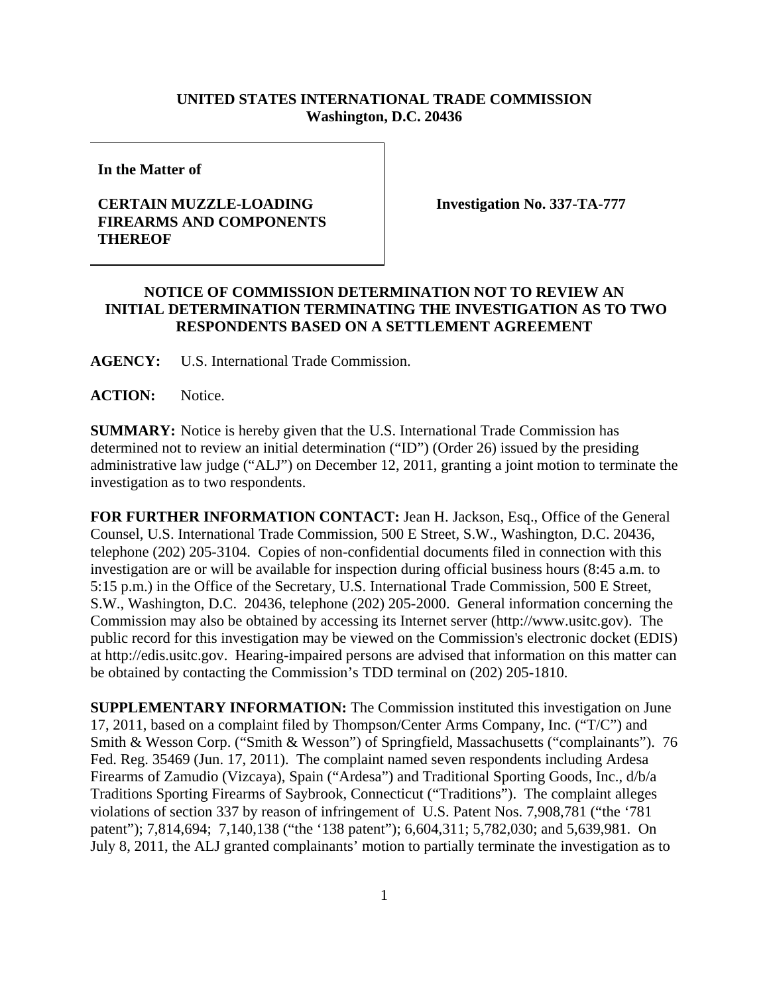## **UNITED STATES INTERNATIONAL TRADE COMMISSION Washington, D.C. 20436**

**In the Matter of** 

## **CERTAIN MUZZLE-LOADING FIREARMS AND COMPONENTS THEREOF**

**Investigation No. 337-TA-777** 

## **NOTICE OF COMMISSION DETERMINATION NOT TO REVIEW AN INITIAL DETERMINATION TERMINATING THE INVESTIGATION AS TO TWO RESPONDENTS BASED ON A SETTLEMENT AGREEMENT**

**AGENCY:** U.S. International Trade Commission.

**ACTION:** Notice.

**SUMMARY:** Notice is hereby given that the U.S. International Trade Commission has determined not to review an initial determination ("ID") (Order 26) issued by the presiding administrative law judge ("ALJ") on December 12, 2011, granting a joint motion to terminate the investigation as to two respondents.

**FOR FURTHER INFORMATION CONTACT:** Jean H. Jackson, Esq., Office of the General Counsel, U.S. International Trade Commission, 500 E Street, S.W., Washington, D.C. 20436, telephone (202) 205-3104. Copies of non-confidential documents filed in connection with this investigation are or will be available for inspection during official business hours (8:45 a.m. to 5:15 p.m.) in the Office of the Secretary, U.S. International Trade Commission, 500 E Street, S.W., Washington, D.C. 20436, telephone (202) 205-2000. General information concerning the Commission may also be obtained by accessing its Internet server (http://www.usitc.gov). The public record for this investigation may be viewed on the Commission's electronic docket (EDIS) at http://edis.usitc.gov. Hearing-impaired persons are advised that information on this matter can be obtained by contacting the Commission's TDD terminal on (202) 205-1810.

**SUPPLEMENTARY INFORMATION:** The Commission instituted this investigation on June 17, 2011, based on a complaint filed by Thompson/Center Arms Company, Inc. ("T/C") and Smith & Wesson Corp. ("Smith & Wesson") of Springfield, Massachusetts ("complainants"). 76 Fed. Reg. 35469 (Jun. 17, 2011). The complaint named seven respondents including Ardesa Firearms of Zamudio (Vizcaya), Spain ("Ardesa") and Traditional Sporting Goods, Inc., d/b/a Traditions Sporting Firearms of Saybrook, Connecticut ("Traditions"). The complaint alleges violations of section 337 by reason of infringement of U.S. Patent Nos. 7,908,781 ("the '781 patent"); 7,814,694; 7,140,138 ("the '138 patent"); 6,604,311; 5,782,030; and 5,639,981. On July 8, 2011, the ALJ granted complainants' motion to partially terminate the investigation as to